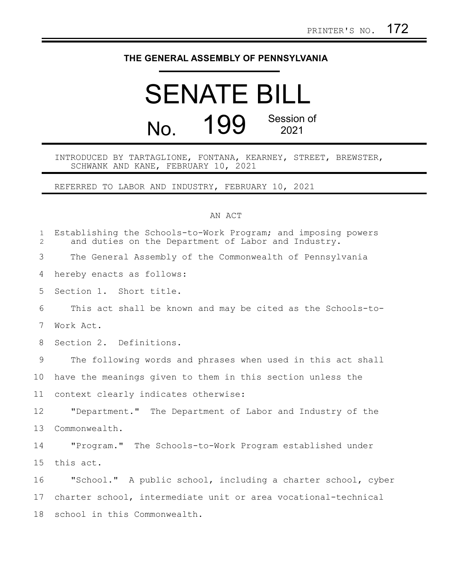## **THE GENERAL ASSEMBLY OF PENNSYLVANIA**

## SENATE BILL No. 199 Session of 2021

## INTRODUCED BY TARTAGLIONE, FONTANA, KEARNEY, STREET, BREWSTER, SCHWANK AND KANE, FEBRUARY 10, 2021

REFERRED TO LABOR AND INDUSTRY, FEBRUARY 10, 2021

## AN ACT

| $\mathbf{1}$<br>$\overline{2}$ | Establishing the Schools-to-Work Program; and imposing powers<br>and duties on the Department of Labor and Industry. |
|--------------------------------|----------------------------------------------------------------------------------------------------------------------|
| 3                              | The General Assembly of the Commonwealth of Pennsylvania                                                             |
| 4                              | hereby enacts as follows:                                                                                            |
| 5                              | Section 1. Short title.                                                                                              |
| 6                              | This act shall be known and may be cited as the Schools-to-                                                          |
| 7                              | Work Act.                                                                                                            |
| 8                              | Section 2. Definitions.                                                                                              |
| 9                              | The following words and phrases when used in this act shall                                                          |
| 10                             | have the meanings given to them in this section unless the                                                           |
| 11                             | context clearly indicates otherwise:                                                                                 |
| 12                             | "Department." The Department of Labor and Industry of the                                                            |
| 13                             | Commonwealth.                                                                                                        |
| 14                             | "Program." The Schools-to-Work Program established under                                                             |
| 15                             | this act.                                                                                                            |
| 16                             | "School." A public school, including a charter school, cyber                                                         |
| 17                             | charter school, intermediate unit or area vocational-technical                                                       |
| 18                             | school in this Commonwealth.                                                                                         |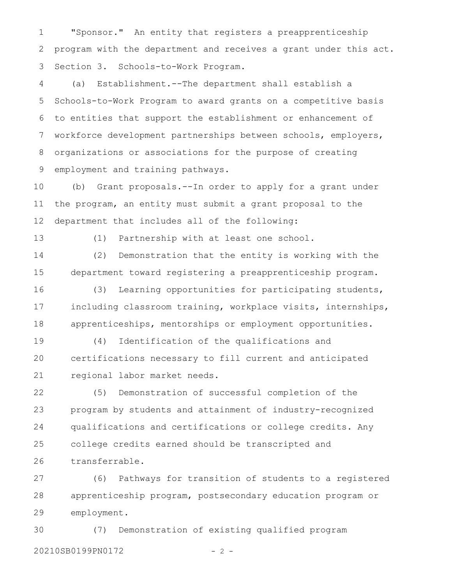"Sponsor." An entity that registers a preapprenticeship program with the department and receives a grant under this act. Section 3. Schools-to-Work Program. 1 2 3

(a) Establishment.--The department shall establish a Schools-to-Work Program to award grants on a competitive basis to entities that support the establishment or enhancement of workforce development partnerships between schools, employers, organizations or associations for the purpose of creating employment and training pathways. 4 5 6 7 8 9

(b) Grant proposals.--In order to apply for a grant under the program, an entity must submit a grant proposal to the department that includes all of the following: 10 11 12

13

(1) Partnership with at least one school.

(2) Demonstration that the entity is working with the department toward registering a preapprenticeship program. 14 15

(3) Learning opportunities for participating students, including classroom training, workplace visits, internships, apprenticeships, mentorships or employment opportunities. 16 17 18

(4) Identification of the qualifications and certifications necessary to fill current and anticipated regional labor market needs. 19 20 21

(5) Demonstration of successful completion of the program by students and attainment of industry-recognized qualifications and certifications or college credits. Any college credits earned should be transcripted and transferrable. 22 23 24 25 26

(6) Pathways for transition of students to a registered apprenticeship program, postsecondary education program or employment. 27 28 29

(7) Demonstration of existing qualified program 20210SB0199PN0172 - 2 -30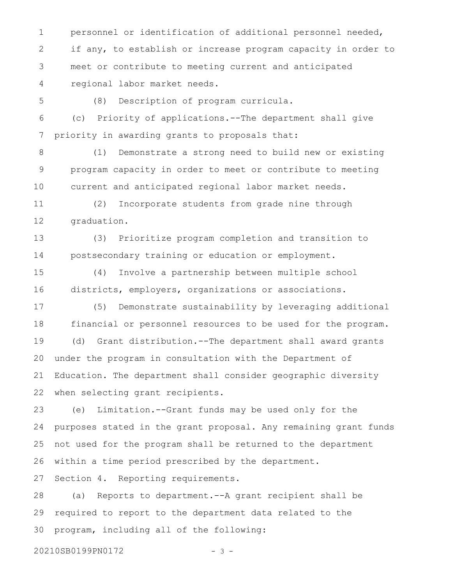personnel or identification of additional personnel needed, if any, to establish or increase program capacity in order to meet or contribute to meeting current and anticipated regional labor market needs. 1 2 3 4

5

(8) Description of program curricula.

(c) Priority of applications.--The department shall give priority in awarding grants to proposals that: 6 7

(1) Demonstrate a strong need to build new or existing program capacity in order to meet or contribute to meeting current and anticipated regional labor market needs. 8 9 10

(2) Incorporate students from grade nine through graduation. 11 12

(3) Prioritize program completion and transition to postsecondary training or education or employment. 13 14

(4) Involve a partnership between multiple school districts, employers, organizations or associations. 15 16

(5) Demonstrate sustainability by leveraging additional financial or personnel resources to be used for the program. (d) Grant distribution.--The department shall award grants under the program in consultation with the Department of Education. The department shall consider geographic diversity when selecting grant recipients. 17 18 19 20 21 22

(e) Limitation.--Grant funds may be used only for the purposes stated in the grant proposal. Any remaining grant funds not used for the program shall be returned to the department within a time period prescribed by the department. 23 24 25 26

Section 4. Reporting requirements. 27

(a) Reports to department.--A grant recipient shall be required to report to the department data related to the program, including all of the following: 28 29 30

20210SB0199PN0172 - 3 -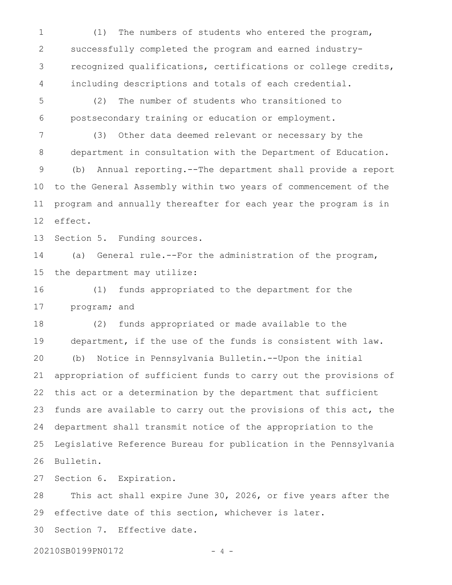(1) The numbers of students who entered the program, successfully completed the program and earned industryrecognized qualifications, certifications or college credits, including descriptions and totals of each credential. 1 2 3 4

(2) The number of students who transitioned to postsecondary training or education or employment. 5 6

(3) Other data deemed relevant or necessary by the department in consultation with the Department of Education. (b) Annual reporting.--The department shall provide a report to the General Assembly within two years of commencement of the program and annually thereafter for each year the program is in effect. 7 8 9 10 11 12

Section 5. Funding sources. 13

(a) General rule.--For the administration of the program, the department may utilize: 14 15

(1) funds appropriated to the department for the program; and 16 17

(2) funds appropriated or made available to the department, if the use of the funds is consistent with law. (b) Notice in Pennsylvania Bulletin.--Upon the initial appropriation of sufficient funds to carry out the provisions of this act or a determination by the department that sufficient funds are available to carry out the provisions of this act, the department shall transmit notice of the appropriation to the Legislative Reference Bureau for publication in the Pennsylvania Bulletin. 18 19 20 21 22 23 24 25 26

Section 6. Expiration. 27

This act shall expire June 30, 2026, or five years after the effective date of this section, whichever is later. Section 7. Effective date. 28 29 30

20210SB0199PN0172 - 4 -